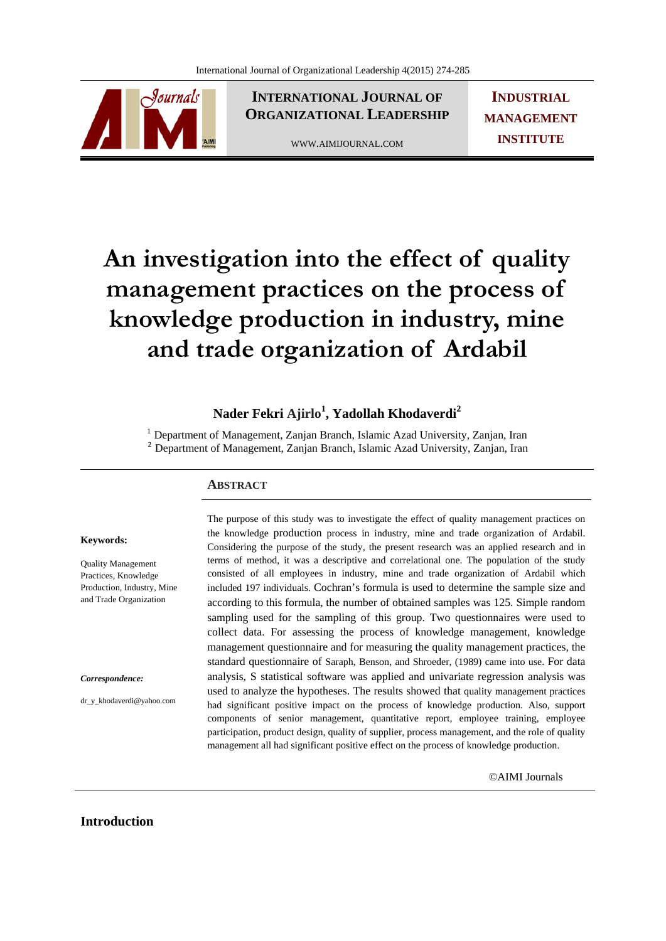

**INTERNATIONAL JOURNAL OF ORGANIZATIONAL LEADERSHIP**

WWW.AIMIJOURNAL.COM

**INDUSTRIAL MANAGEMENT INSTITUTE**

# **An investigation into the effect of quality management practices on the process of knowledge production in industry, mine and trade organization of Ardabil**

# $\mathbf{N}$ ader Fekri Ajirlo<sup>1</sup>, Yadollah Khodaverdi<sup>2</sup>

<sup>1</sup> Department of Management, Zanjan Branch, Islamic Azad University, Zanjan, Iran <sup>2</sup> Department of Management, Zanjan Branch, Islamic Azad University, Zanjan, Iran

#### **ABSTRACT**

#### **Keywords:**

Quality Management Practices, Knowledge Production, Industry, Mine and Trade Organization

*Correspondence:* 

dr\_y\_khodaverdi@yahoo.com

The purpose of this study was to investigate the effect of quality management practices on the knowledge production process in industry, mine and trade organization of Ardabil. Considering the purpose of the study, the present research was an applied research and in terms of method, it was a descriptive and correlational one. The population of the study consisted of all employees in industry, mine and trade organization of Ardabil which included 197 individuals. Cochran's formula is used to determine the sample size and according to this formula, the number of obtained samples was 125. Simple random sampling used for the sampling of this group. Two questionnaires were used to collect data. For assessing the process of knowledge management, knowledge management questionnaire and for measuring the quality management practices, the standard questionnaire of Saraph, Benson, and Shroeder, (1989) came into use. For data analysis, S statistical software was applied and univariate regression analysis was used to analyze the hypotheses. The results showed that quality management practices had significant positive impact on the process of knowledge production. Also, support components of senior management, quantitative report, employee training, employee participation, product design, quality of supplier, process management, and the role of quality management all had significant positive effect on the process of knowledge production.

©AIMI Journals

#### **Introduction**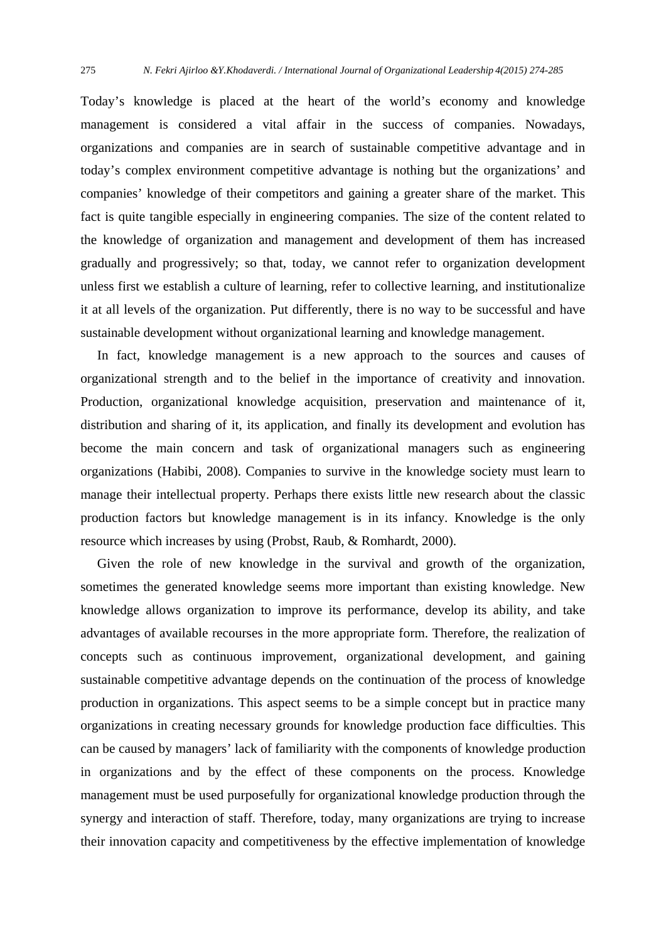Today's knowledge is placed at the heart of the world's economy and knowledge management is considered a vital affair in the success of companies. Nowadays, organizations and companies are in search of sustainable competitive advantage and in today's complex environment competitive advantage is nothing but the organizations' and companies' knowledge of their competitors and gaining a greater share of the market. This fact is quite tangible especially in engineering companies. The size of the content related to the knowledge of organization and management and development of them has increased gradually and progressively; so that, today, we cannot refer to organization development unless first we establish a culture of learning, refer to collective learning, and institutionalize it at all levels of the organization. Put differently, there is no way to be successful and have sustainable development without organizational learning and knowledge management.

 In fact, knowledge management is a new approach to the sources and causes of organizational strength and to the belief in the importance of creativity and innovation. Production, organizational knowledge acquisition, preservation and maintenance of it, distribution and sharing of it, its application, and finally its development and evolution has become the main concern and task of organizational managers such as engineering organizations (Habibi, 2008). Companies to survive in the knowledge society must learn to manage their intellectual property. Perhaps there exists little new research about the classic production factors but knowledge management is in its infancy. Knowledge is the only resource which increases by using (Probst, Raub, & Romhardt, 2000).

 Given the role of new knowledge in the survival and growth of the organization, sometimes the generated knowledge seems more important than existing knowledge. New knowledge allows organization to improve its performance, develop its ability, and take advantages of available recourses in the more appropriate form. Therefore, the realization of concepts such as continuous improvement, organizational development, and gaining sustainable competitive advantage depends on the continuation of the process of knowledge production in organizations. This aspect seems to be a simple concept but in practice many organizations in creating necessary grounds for knowledge production face difficulties. This can be caused by managers' lack of familiarity with the components of knowledge production in organizations and by the effect of these components on the process. Knowledge management must be used purposefully for organizational knowledge production through the synergy and interaction of staff. Therefore, today, many organizations are trying to increase their innovation capacity and competitiveness by the effective implementation of knowledge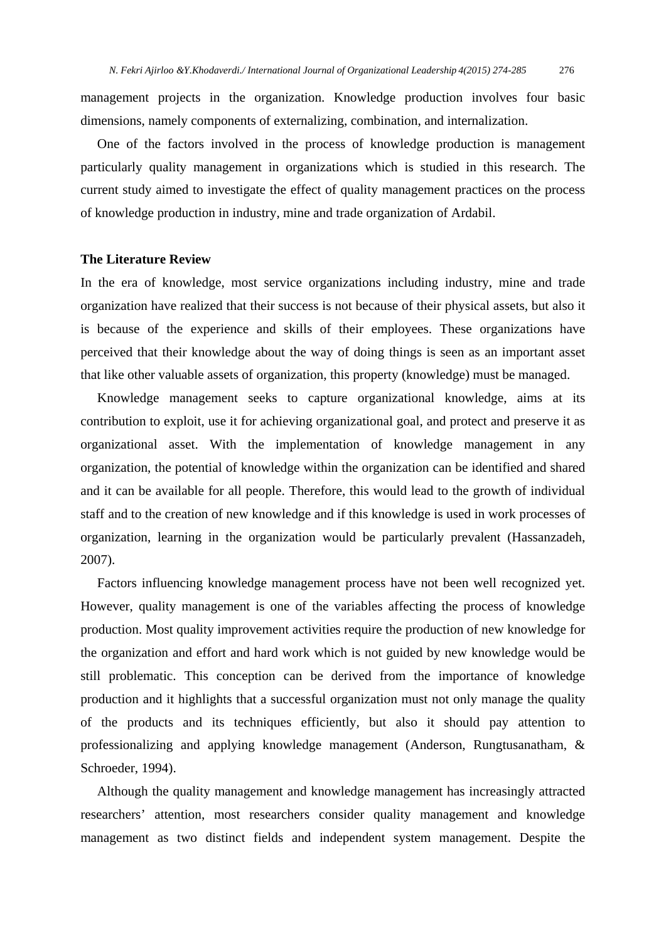management projects in the organization. Knowledge production involves four basic dimensions, namely components of externalizing, combination, and internalization.

 One of the factors involved in the process of knowledge production is management particularly quality management in organizations which is studied in this research. The current study aimed to investigate the effect of quality management practices on the process of knowledge production in industry, mine and trade organization of Ardabil.

#### **The Literature Review**

In the era of knowledge, most service organizations including industry, mine and trade organization have realized that their success is not because of their physical assets, but also it is because of the experience and skills of their employees. These organizations have perceived that their knowledge about the way of doing things is seen as an important asset that like other valuable assets of organization, this property (knowledge) must be managed.

 Knowledge management seeks to capture organizational knowledge, aims at its contribution to exploit, use it for achieving organizational goal, and protect and preserve it as organizational asset. With the implementation of knowledge management in any organization, the potential of knowledge within the organization can be identified and shared and it can be available for all people. Therefore, this would lead to the growth of individual staff and to the creation of new knowledge and if this knowledge is used in work processes of organization, learning in the organization would be particularly prevalent (Hassanzadeh, 2007).

 Factors influencing knowledge management process have not been well recognized yet. However, quality management is one of the variables affecting the process of knowledge production. Most quality improvement activities require the production of new knowledge for the organization and effort and hard work which is not guided by new knowledge would be still problematic. This conception can be derived from the importance of knowledge production and it highlights that a successful organization must not only manage the quality of the products and its techniques efficiently, but also it should pay attention to professionalizing and applying knowledge management (Anderson, Rungtusanatham, & Schroeder, 1994).

 Although the quality management and knowledge management has increasingly attracted researchers' attention, most researchers consider quality management and knowledge management as two distinct fields and independent system management. Despite the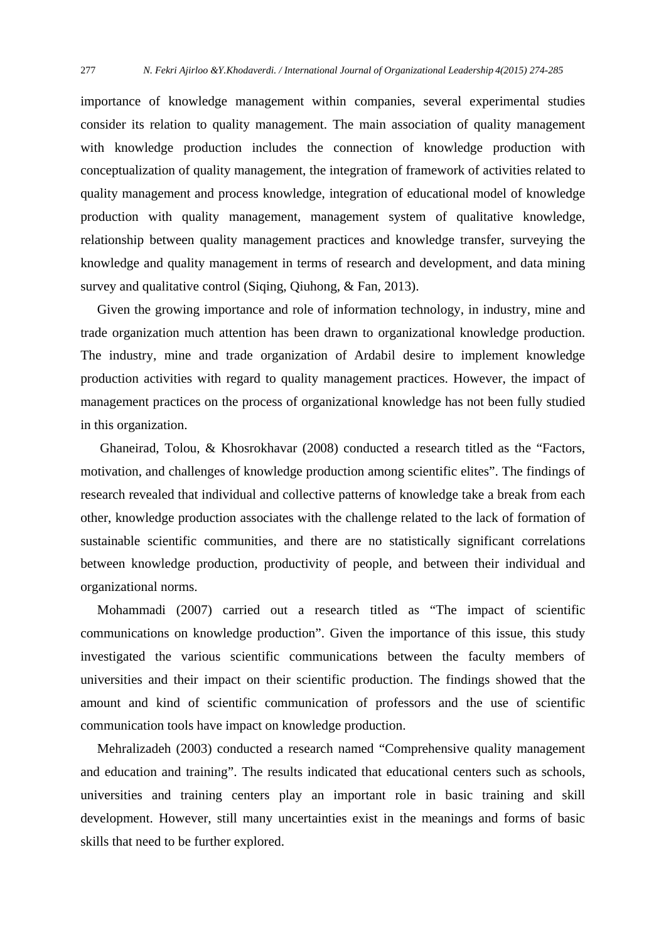importance of knowledge management within companies, several experimental studies consider its relation to quality management. The main association of quality management with knowledge production includes the connection of knowledge production with conceptualization of quality management, the integration of framework of activities related to quality management and process knowledge, integration of educational model of knowledge production with quality management, management system of qualitative knowledge, relationship between quality management practices and knowledge transfer, surveying the knowledge and quality management in terms of research and development, and data mining survey and qualitative control (Siqing, Qiuhong, & Fan, 2013).

 Given the growing importance and role of information technology, in industry, mine and trade organization much attention has been drawn to organizational knowledge production. The industry, mine and trade organization of Ardabil desire to implement knowledge production activities with regard to quality management practices. However, the impact of management practices on the process of organizational knowledge has not been fully studied in this organization.

 Ghaneirad, Tolou, & Khosrokhavar (2008) conducted a research titled as the "Factors, motivation, and challenges of knowledge production among scientific elites". The findings of research revealed that individual and collective patterns of knowledge take a break from each other, knowledge production associates with the challenge related to the lack of formation of sustainable scientific communities, and there are no statistically significant correlations between knowledge production, productivity of people, and between their individual and organizational norms.

 Mohammadi (2007) carried out a research titled as "The impact of scientific communications on knowledge production". Given the importance of this issue, this study investigated the various scientific communications between the faculty members of universities and their impact on their scientific production. The findings showed that the amount and kind of scientific communication of professors and the use of scientific communication tools have impact on knowledge production.

 Mehralizadeh (2003) conducted a research named "Comprehensive quality management and education and training". The results indicated that educational centers such as schools, universities and training centers play an important role in basic training and skill development. However, still many uncertainties exist in the meanings and forms of basic skills that need to be further explored.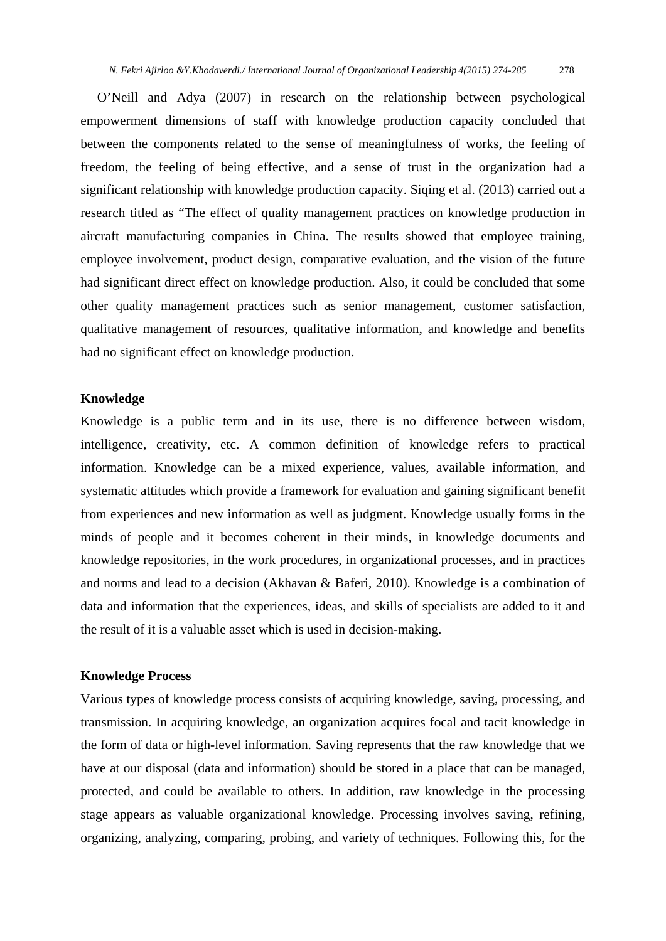O'Neill and Adya (2007) in research on the relationship between psychological empowerment dimensions of staff with knowledge production capacity concluded that between the components related to the sense of meaningfulness of works, the feeling of freedom, the feeling of being effective, and a sense of trust in the organization had a significant relationship with knowledge production capacity. Siqing et al. (2013) carried out a research titled as "The effect of quality management practices on knowledge production in aircraft manufacturing companies in China. The results showed that employee training, employee involvement, product design, comparative evaluation, and the vision of the future had significant direct effect on knowledge production. Also, it could be concluded that some other quality management practices such as senior management, customer satisfaction, qualitative management of resources, qualitative information, and knowledge and benefits had no significant effect on knowledge production.

## **Knowledge**

Knowledge is a public term and in its use, there is no difference between wisdom, intelligence, creativity, etc. A common definition of knowledge refers to practical information. Knowledge can be a mixed experience, values, available information, and systematic attitudes which provide a framework for evaluation and gaining significant benefit from experiences and new information as well as judgment. Knowledge usually forms in the minds of people and it becomes coherent in their minds, in knowledge documents and knowledge repositories, in the work procedures, in organizational processes, and in practices and norms and lead to a decision (Akhavan & Baferi, 2010). Knowledge is a combination of data and information that the experiences, ideas, and skills of specialists are added to it and the result of it is a valuable asset which is used in decision-making.

#### **Knowledge Process**

Various types of knowledge process consists of acquiring knowledge, saving, processing, and transmission. In acquiring knowledge, an organization acquires focal and tacit knowledge in the form of data or high-level information. Saving represents that the raw knowledge that we have at our disposal (data and information) should be stored in a place that can be managed, protected, and could be available to others. In addition, raw knowledge in the processing stage appears as valuable organizational knowledge. Processing involves saving, refining, organizing, analyzing, comparing, probing, and variety of techniques. Following this, for the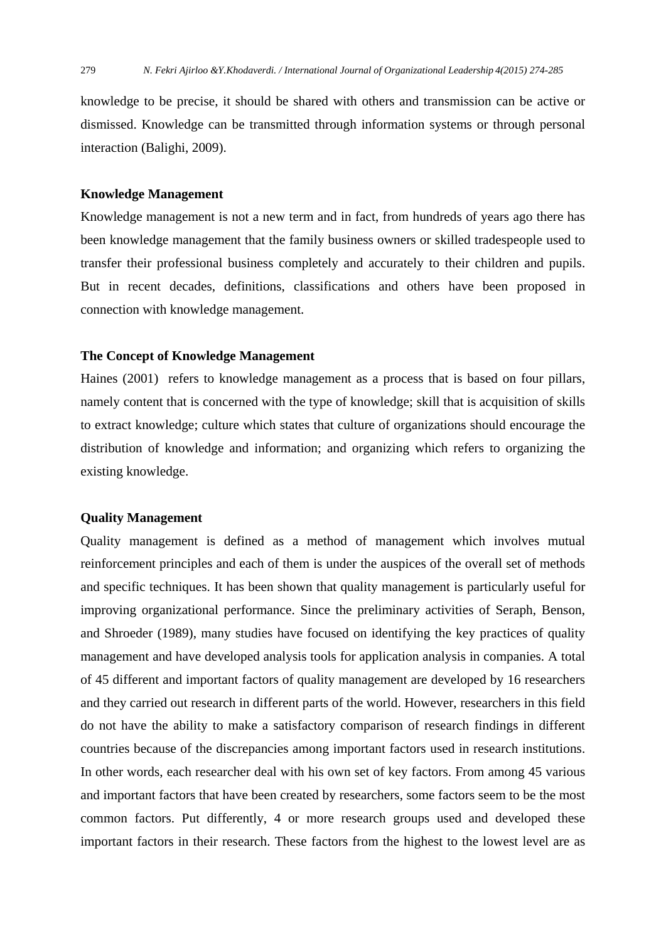knowledge to be precise, it should be shared with others and transmission can be active or dismissed. Knowledge can be transmitted through information systems or through personal interaction (Balighi, 2009).

#### **Knowledge Management**

Knowledge management is not a new term and in fact, from hundreds of years ago there has been knowledge management that the family business owners or skilled tradespeople used to transfer their professional business completely and accurately to their children and pupils. But in recent decades, definitions, classifications and others have been proposed in connection with knowledge management.

#### **The Concept of Knowledge Management**

Haines (2001) refers to knowledge management as a process that is based on four pillars, namely content that is concerned with the type of knowledge; skill that is acquisition of skills to extract knowledge; culture which states that culture of organizations should encourage the distribution of knowledge and information; and organizing which refers to organizing the existing knowledge.

#### **Quality Management**

Quality management is defined as a method of management which involves mutual reinforcement principles and each of them is under the auspices of the overall set of methods and specific techniques. It has been shown that quality management is particularly useful for improving organizational performance. Since the preliminary activities of Seraph, Benson, and Shroeder (1989), many studies have focused on identifying the key practices of quality management and have developed analysis tools for application analysis in companies. A total of 45 different and important factors of quality management are developed by 16 researchers and they carried out research in different parts of the world. However, researchers in this field do not have the ability to make a satisfactory comparison of research findings in different countries because of the discrepancies among important factors used in research institutions. In other words, each researcher deal with his own set of key factors. From among 45 various and important factors that have been created by researchers, some factors seem to be the most common factors. Put differently, 4 or more research groups used and developed these important factors in their research. These factors from the highest to the lowest level are as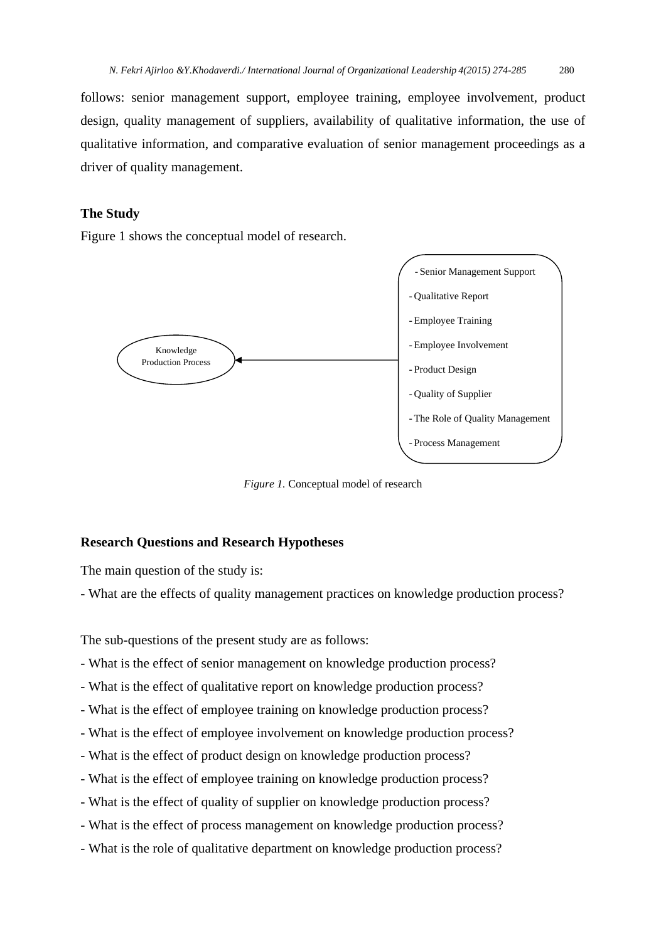follows: senior management support, employee training, employee involvement, product design, quality management of suppliers, availability of qualitative information, the use of qualitative information, and comparative evaluation of senior management proceedings as a driver of quality management.

## **The Study**

Figure 1 shows the conceptual model of research.



*Figure 1.* Conceptual model of research

#### **Research Questions and Research Hypotheses**

The main question of the study is:

- What are the effects of quality management practices on knowledge production process?

The sub-questions of the present study are as follows:

- What is the effect of senior management on knowledge production process?
- What is the effect of qualitative report on knowledge production process?
- What is the effect of employee training on knowledge production process?
- What is the effect of employee involvement on knowledge production process?
- What is the effect of product design on knowledge production process?
- What is the effect of employee training on knowledge production process?
- What is the effect of quality of supplier on knowledge production process?
- What is the effect of process management on knowledge production process?
- What is the role of qualitative department on knowledge production process?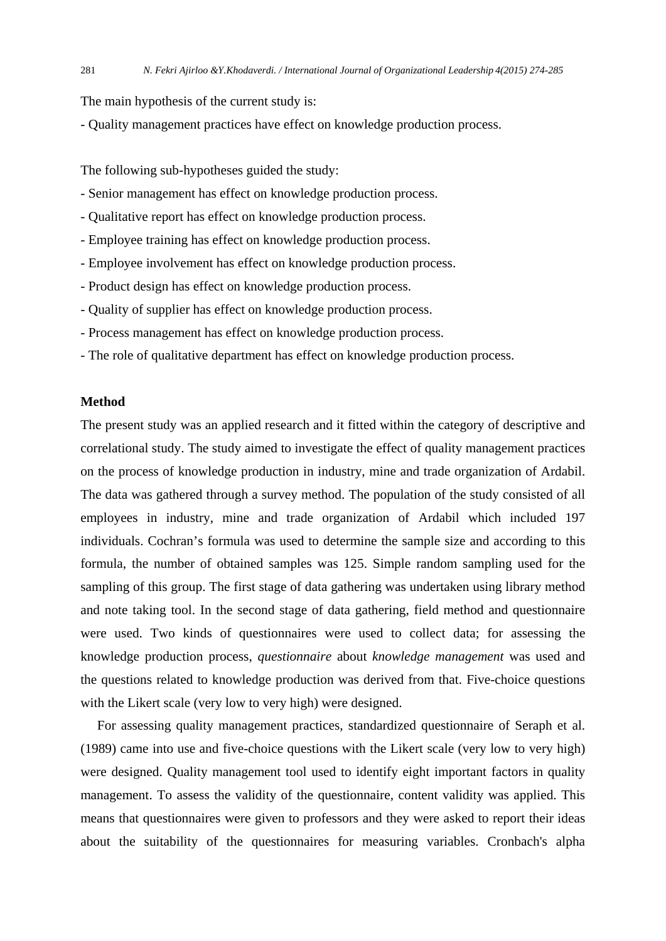The main hypothesis of the current study is:

- Quality management practices have effect on knowledge production process.

The following sub-hypotheses guided the study:

- Senior management has effect on knowledge production process.
- Qualitative report has effect on knowledge production process.
- Employee training has effect on knowledge production process.
- Employee involvement has effect on knowledge production process.
- Product design has effect on knowledge production process.
- Quality of supplier has effect on knowledge production process.
- Process management has effect on knowledge production process.
- The role of qualitative department has effect on knowledge production process.

#### **Method**

The present study was an applied research and it fitted within the category of descriptive and correlational study. The study aimed to investigate the effect of quality management practices on the process of knowledge production in industry, mine and trade organization of Ardabil. The data was gathered through a survey method. The population of the study consisted of all employees in industry, mine and trade organization of Ardabil which included 197 individuals. Cochran's formula was used to determine the sample size and according to this formula, the number of obtained samples was 125. Simple random sampling used for the sampling of this group. The first stage of data gathering was undertaken using library method and note taking tool. In the second stage of data gathering, field method and questionnaire were used. Two kinds of questionnaires were used to collect data; for assessing the knowledge production process, *questionnaire* about *knowledge management* was used and the questions related to knowledge production was derived from that. Five-choice questions with the Likert scale (very low to very high) were designed.

 For assessing quality management practices, standardized questionnaire of Seraph et al. (1989) came into use and five-choice questions with the Likert scale (very low to very high) were designed. Quality management tool used to identify eight important factors in quality management. To assess the validity of the questionnaire, content validity was applied. This means that questionnaires were given to professors and they were asked to report their ideas about the suitability of the questionnaires for measuring variables. Cronbach's alpha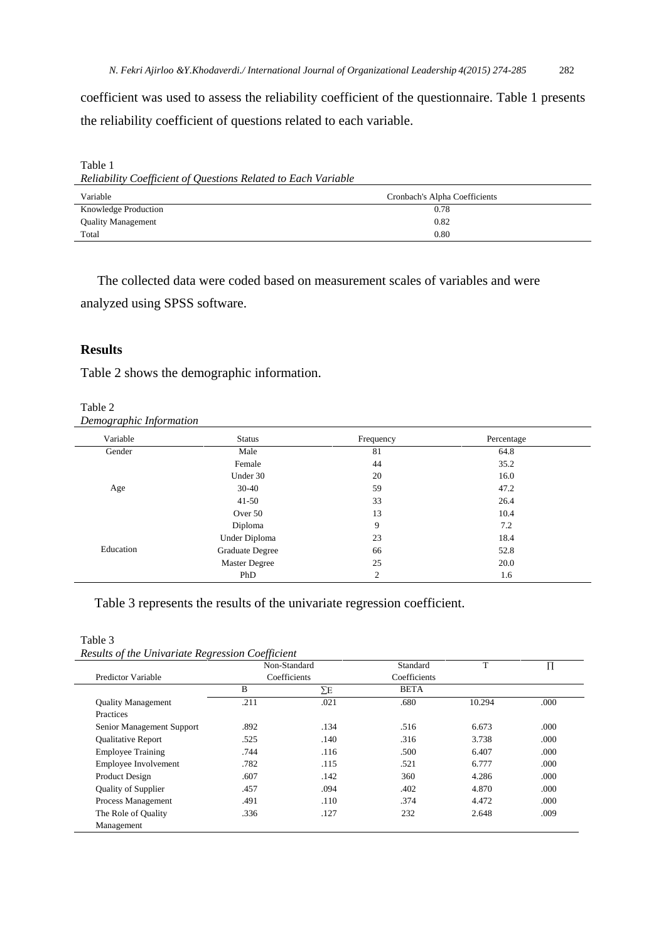coefficient was used to assess the reliability coefficient of the questionnaire. Table 1 presents the reliability coefficient of questions related to each variable.

Table 1 *Reliability Coefficient of Questions Related to Each Variable* 

| Variable                  | Cronbach's Alpha Coefficients |  |  |
|---------------------------|-------------------------------|--|--|
| Knowledge Production      | 0.78                          |  |  |
| <b>Quality Management</b> | 0.82                          |  |  |
| Total                     | 0.80                          |  |  |

The collected data were coded based on measurement scales of variables and were

analyzed using SPSS software.

# **Results**

Table 2 shows the demographic information.

| Table 2                 |  |
|-------------------------|--|
| Demographic Information |  |

| Variable  | <b>Status</b>        | Frequency      | Percentage |
|-----------|----------------------|----------------|------------|
| Gender    | Male                 | 81             | 64.8       |
|           | Female               | 44             | 35.2       |
|           | Under 30             | 20             | 16.0       |
| Age       | $30-40$              | 59             | 47.2       |
|           | $41 - 50$            | 33             | 26.4       |
|           | Over 50              | 13             | 10.4       |
| Education | Diploma              | 9              | 7.2        |
|           | Under Diploma        | 23             | 18.4       |
|           | Graduate Degree      | 66             | 52.8       |
|           | <b>Master Degree</b> | 25             | 20.0       |
|           | PhD                  | $\overline{c}$ | 1.6        |

## Table 3 represents the results of the univariate regression coefficient.

Table 3 *Results of the Univariate Regression Coefficient* 

|                            | Non-Standard |      | Standard     | T      | П    |
|----------------------------|--------------|------|--------------|--------|------|
| Predictor Variable         | Coefficients |      | Coefficients |        |      |
|                            | B            | ΣΕ   | <b>BETA</b>  |        |      |
| <b>Ouality Management</b>  | .211         | .021 | .680         | 10.294 | .000 |
| Practices                  |              |      |              |        |      |
| Senior Management Support  | .892         | .134 | .516         | 6.673  | .000 |
| Qualitative Report         | .525         | .140 | .316         | 3.738  | .000 |
| <b>Employee Training</b>   | .744         | .116 | .500         | 6.407  | .000 |
| Employee Involvement       | .782         | .115 | .521         | 6.777  | .000 |
| Product Design             | .607         | .142 | 360          | 4.286  | .000 |
| <b>Ouality of Supplier</b> | .457         | .094 | .402         | 4.870  | .000 |
| Process Management         | .491         | .110 | .374         | 4.472  | .000 |
| The Role of Quality        | .336         | .127 | 232          | 2.648  | .009 |
| Management                 |              |      |              |        |      |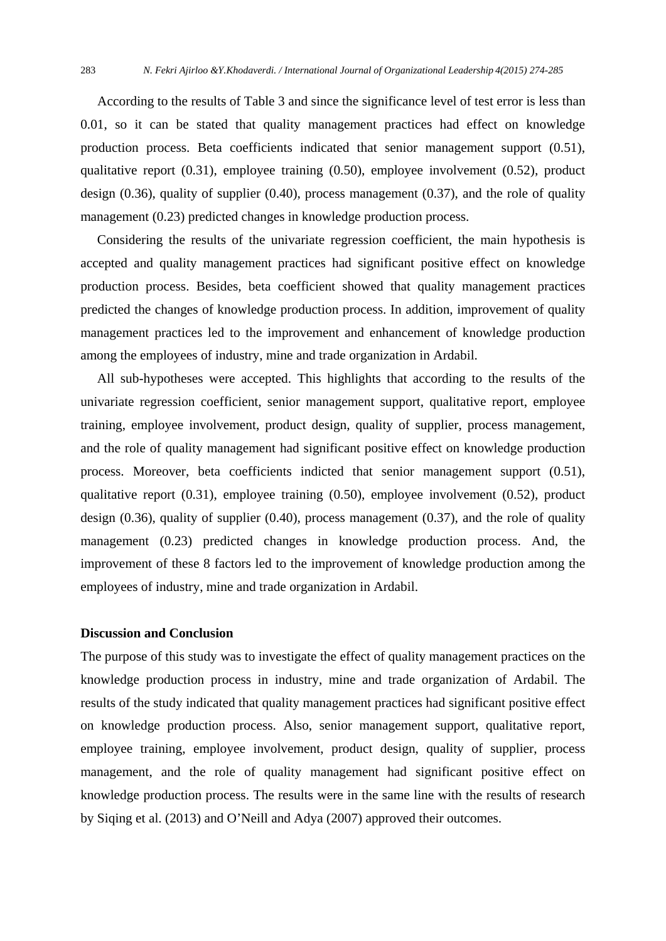According to the results of Table 3 and since the significance level of test error is less than 0.01, so it can be stated that quality management practices had effect on knowledge production process. Beta coefficients indicated that senior management support (0.51), qualitative report (0.31), employee training (0.50), employee involvement (0.52), product design  $(0.36)$ , quality of supplier  $(0.40)$ , process management  $(0.37)$ , and the role of quality management (0.23) predicted changes in knowledge production process.

 Considering the results of the univariate regression coefficient, the main hypothesis is accepted and quality management practices had significant positive effect on knowledge production process. Besides, beta coefficient showed that quality management practices predicted the changes of knowledge production process. In addition, improvement of quality management practices led to the improvement and enhancement of knowledge production among the employees of industry, mine and trade organization in Ardabil.

 All sub-hypotheses were accepted. This highlights that according to the results of the univariate regression coefficient, senior management support, qualitative report, employee training, employee involvement, product design, quality of supplier, process management, and the role of quality management had significant positive effect on knowledge production process. Moreover, beta coefficients indicted that senior management support (0.51), qualitative report (0.31), employee training (0.50), employee involvement (0.52), product design  $(0.36)$ , quality of supplier  $(0.40)$ , process management  $(0.37)$ , and the role of quality management (0.23) predicted changes in knowledge production process. And, the improvement of these 8 factors led to the improvement of knowledge production among the employees of industry, mine and trade organization in Ardabil.

#### **Discussion and Conclusion**

The purpose of this study was to investigate the effect of quality management practices on the knowledge production process in industry, mine and trade organization of Ardabil. The results of the study indicated that quality management practices had significant positive effect on knowledge production process. Also, senior management support, qualitative report, employee training, employee involvement, product design, quality of supplier, process management, and the role of quality management had significant positive effect on knowledge production process. The results were in the same line with the results of research by Siqing et al. (2013) and O'Neill and Adya (2007) approved their outcomes.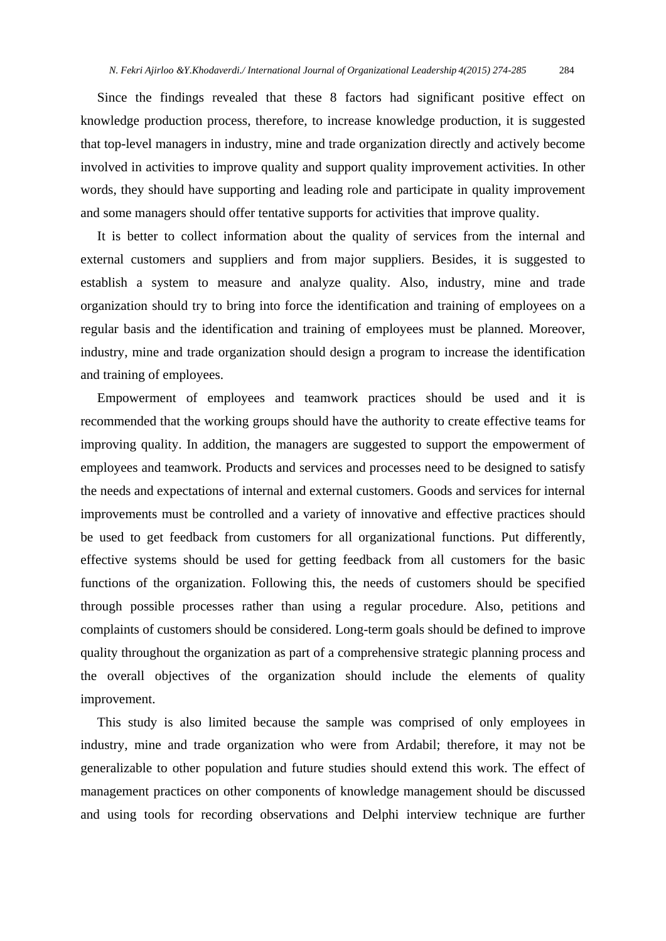Since the findings revealed that these 8 factors had significant positive effect on knowledge production process, therefore, to increase knowledge production, it is suggested that top-level managers in industry, mine and trade organization directly and actively become involved in activities to improve quality and support quality improvement activities. In other words, they should have supporting and leading role and participate in quality improvement and some managers should offer tentative supports for activities that improve quality.

 It is better to collect information about the quality of services from the internal and external customers and suppliers and from major suppliers. Besides, it is suggested to establish a system to measure and analyze quality. Also, industry, mine and trade organization should try to bring into force the identification and training of employees on a regular basis and the identification and training of employees must be planned. Moreover, industry, mine and trade organization should design a program to increase the identification and training of employees.

 Empowerment of employees and teamwork practices should be used and it is recommended that the working groups should have the authority to create effective teams for improving quality. In addition, the managers are suggested to support the empowerment of employees and teamwork. Products and services and processes need to be designed to satisfy the needs and expectations of internal and external customers. Goods and services for internal improvements must be controlled and a variety of innovative and effective practices should be used to get feedback from customers for all organizational functions. Put differently, effective systems should be used for getting feedback from all customers for the basic functions of the organization. Following this, the needs of customers should be specified through possible processes rather than using a regular procedure. Also, petitions and complaints of customers should be considered. Long-term goals should be defined to improve quality throughout the organization as part of a comprehensive strategic planning process and the overall objectives of the organization should include the elements of quality improvement.

 This study is also limited because the sample was comprised of only employees in industry, mine and trade organization who were from Ardabil; therefore, it may not be generalizable to other population and future studies should extend this work. The effect of management practices on other components of knowledge management should be discussed and using tools for recording observations and Delphi interview technique are further